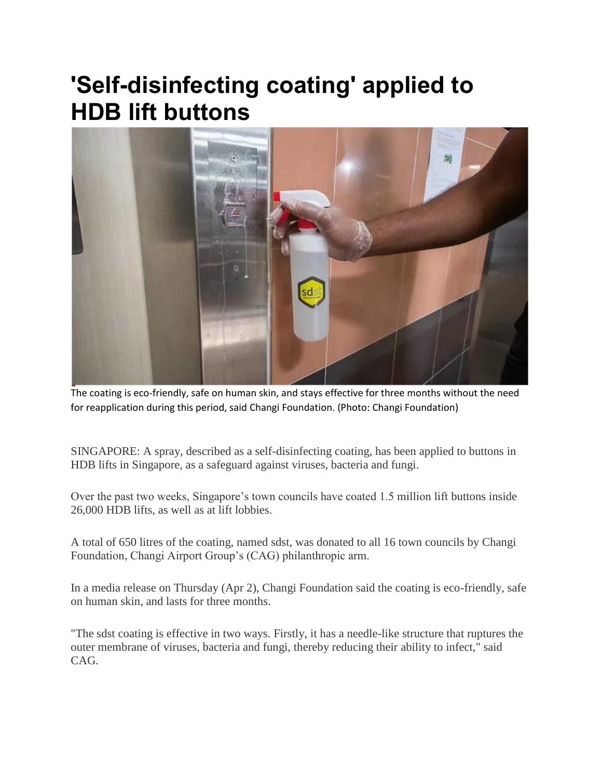## **'Self-disinfecting coating' applied to HDB lift buttons**



The coating is eco-friendly, safe on human skin, and stays effective for three months without the need for reapplication during this period, said Changi Foundation. (Photo: Changi Foundation)

SINGAPORE: A spray, described as a self-disinfecting coating, has been applied to buttons in HDB lifts in Singapore, as a safeguard against viruses, bacteria and fungi.

Over the past two weeks, Singapore's town councils have coated 1.5 million lift buttons inside 26,000 HDB lifts, as well as at lift lobbies.

A total of 650 litres of the coating, named sdst, was donated to all 16 town councils by Changi Foundation, Changi Airport Group's (CAG) philanthropic arm.

In a media release on Thursday (Apr 2), Changi Foundation said the coating is eco-friendly, safe on human skin, and lasts for three months.

"The sdst coating is effective in two ways. Firstly, it has a needle-like structure that ruptures the outer membrane of viruses, bacteria and fungi, thereby reducing their ability to infect," said CAG.